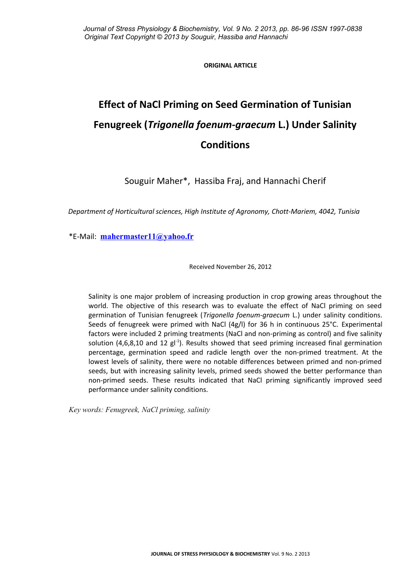## **ORIGINAL ARTICLE**

# **Effect of NaCl Priming on Seed Germination of Tunisian Fenugreek (***Trigonella foenum-graecum* **L.) Under Salinity Conditions**

Souguir Maher\*, Hassiba Fraj, and Hannachi Cherif

*Department of Horticultural sciences, High Institute of Agronomy, Chott-Mariem, 4042, Tunisia*

\*E-Mail: **[mahermaster11@yahoo.fr](mailto:mahermaster11@yahoo.fr)**

Received November 26, 2012

Salinity is one major problem of increasing production in crop growing areas throughout the world. The objective of this research was to evaluate the effect of NaCl priming on seed germination of Tunisian fenugreek (*Trigonella foenum-graecum* L.) under salinity conditions. Seeds of fenugreek were primed with NaCl (4g/l) for 36 h in continuous 25°C. Experimental factors were included 2 priming treatments (NaCl and non-priming as control) and five salinity solution (4,6,8,10 and 12  $gl^{-1}$ ). Results showed that seed priming increased final germination percentage, germination speed and radicle length over the non-primed treatment. At the lowest levels of salinity, there were no notable differences between primed and non-primed seeds, but with increasing salinity levels, primed seeds showed the better performance than non-primed seeds. These results indicated that NaCl priming significantly improved seed performance under salinity conditions.

*Key words: Fenugreek, NaCl priming, salinity*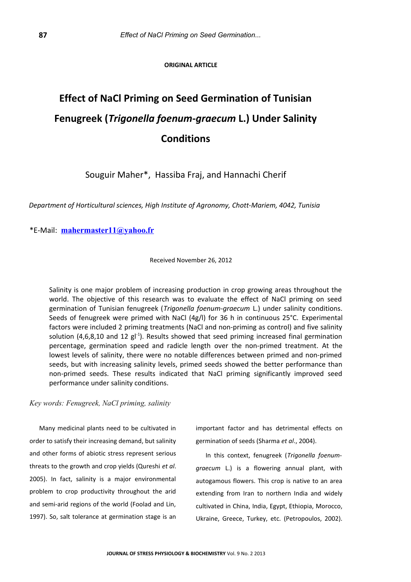### **ORIGINAL ARTICLE**

## **Effect of NaCl Priming on Seed Germination of Tunisian Fenugreek (***Trigonella foenum-graecum* **L.) Under Salinity Conditions**

Souguir Maher\*, Hassiba Fraj, and Hannachi Cherif

*Department of Horticultural sciences, High Institute of Agronomy, Chott-Mariem, 4042, Tunisia*

\*E-Mail: **[mahermaster11@yahoo.fr](mailto:mahermaster11@yahoo.fr)**

Received November 26, 2012

Salinity is one major problem of increasing production in crop growing areas throughout the world. The objective of this research was to evaluate the effect of NaCl priming on seed germination of Tunisian fenugreek (*Trigonella foenum-graecum* L.) under salinity conditions. Seeds of fenugreek were primed with NaCl (4g/l) for 36 h in continuous 25°C. Experimental factors were included 2 priming treatments (NaCl and non-priming as control) and five salinity solution (4,6,8,10 and 12  $gt^{-1}$ ). Results showed that seed priming increased final germination percentage, germination speed and radicle length over the non-primed treatment. At the lowest levels of salinity, there were no notable differences between primed and non-primed seeds, but with increasing salinity levels, primed seeds showed the better performance than non-primed seeds. These results indicated that NaCl priming significantly improved seed performance under salinity conditions.

## *Key words: Fenugreek, NaCl priming, salinity*

Many medicinal plants need to be cultivated in order to satisfy their increasing demand, but salinity and other forms of abiotic stress represent serious threats to the growth and crop yields (Qureshi *et al*. 2005). In fact, salinity is a major environmental problem to crop productivity throughout the arid and semi-arid regions of the world (Foolad and Lin, 1997). So, salt tolerance at germination stage is an important factor and has detrimental effects on germination of seeds (Sharma *et al*., 2004).

In this context, fenugreek (*Trigonella foenumgraecum* L.) is a flowering annual plant, with autogamous flowers. This crop is native to an area extending from Iran to northern India and widely cultivated in China, India, Egypt, Ethiopia, Morocco, Ukraine, Greece, Turkey, etc. (Petropoulos, 2002).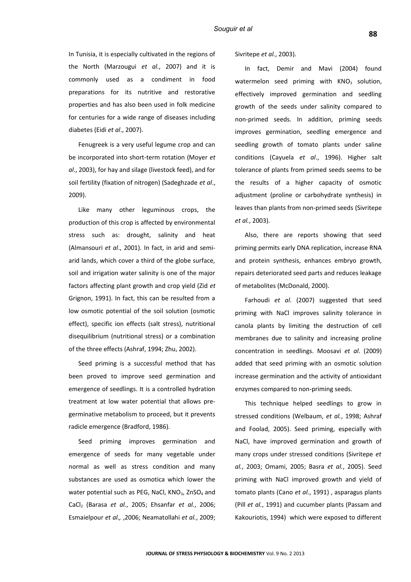In Tunisia, it is especially cultivated in the regions of the North (Marzougui *et al*., 2007) and it is commonly used as a condiment in food preparations for its nutritive and restorative properties and has also been used in folk medicine for centuries for a wide range of diseases including diabetes (Eidi *et al*., 2007).

Fenugreek is a very useful legume crop and can be incorporated into short-term rotation (Moyer *et al*., 2003), for hay and silage (livestock feed), and for soil fertility (fixation of nitrogen) (Sadeghzade *et al*., 2009).

Like many other leguminous crops, the production of this crop is affected by environmental stress such as: drought, salinity and heat (Almansouri *et al*., 2001). In fact, in arid and semiarid lands, which cover a third of the globe surface, soil and irrigation water salinity is one of the major factors affecting plant growth and crop yield (Zid *et* Grignon, 1991). In fact, this can be resulted from a low osmotic potential of the soil solution (osmotic effect), specific ion effects (salt stress), nutritional disequilibrium (nutritional stress) or a combination of the three effects (Ashraf, 1994; Zhu, 2002).

Seed priming is a successful method that has been proved to improve seed germination and emergence of seedlings. It is a controlled hydration treatment at low water potential that allows pregerminative metabolism to proceed, but it prevents radicle emergence (Bradford, 1986).

Seed priming improves germination and emergence of seeds for many vegetable under normal as well as stress condition and many substances are used as osmotica which lower the water potential such as PEG, NaCl,  $KNO_3$ , ZnSO<sub>4</sub> and CaCl2 (Barasa *et al.*, 2005; Ehsanfar *et al.*, 2006; Esmaielpour *et al.,* ,2006; Neamatollahi *et al.*, 2009; Sivritepe *et al.*, 2003).

In fact, Demir and Mavi (2004) found watermelon seed priming with  $KNO<sub>3</sub>$  solution, effectively improved germination and seedling growth of the seeds under salinity compared to non-primed seeds. In addition, priming seeds improves germination, seedling emergence and seedling growth of tomato plants under saline conditions (Cayuela *et al*., 1996). Higher salt tolerance of plants from primed seeds seems to be the results of a higher capacity of osmotic adjustment (proline or carbohydrate synthesis) in leaves than plants from non-primed seeds (Sivritepe *et al.*, 2003).

Also, there are reports showing that seed priming permits early DNA replication, increase RNA and protein synthesis, enhances embryo growth, repairs deteriorated seed parts and reduces leakage of metabolites (McDonald, 2000).

Farhoudi *et al*. (2007) suggested that seed priming with NaCl improves salinity tolerance in canola plants by limiting the destruction of cell membranes due to salinity and increasing proline concentration in seedlings. Moosavi *et al*. (2009) added that seed priming with an osmotic solution increase germination and the activity of antioxidant enzymes compared to non-priming seeds.

This technique helped seedlings to grow in stressed conditions (Welbaum, *et al.*, 1998; Ashraf and Foolad, 2005). Seed priming, especially with NaCl, have improved germination and growth of many crops under stressed conditions (Sivritepe *et al.*, 2003; Omami, 2005; Basra *et al.*, 2005). Seed priming with NaCl improved growth and yield of tomato plants (Cano *et al.*, 1991) , asparagus plants (Pill *et al.*, 1991) and cucumber plants (Passam and Kakouriotis, 1994) which were exposed to different

**88**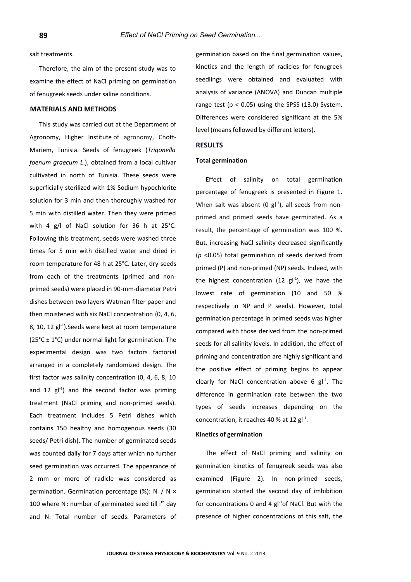salt treatments.

Therefore, the aim of the present study was to examine the effect of NaCl priming on germination of fenugreek seeds under saline conditions.

## **MATERIALS AND METHODS**

This study was carried out at the Department of Agronomy, Higher Institute of agronomy, Chott-Mariem, Tunisia. Seeds of fenugreek (*Trigonella foenum graecum L*.), obtained from a local cultivar cultivated in north of Tunisia. These seeds were superficially sterilized with 1% Sodium hypochlorite solution for 3 min and then thoroughly washed for 5 min with distilled water. Then they were primed with 4 g/l of NaCl solution for 36 h at 25°C. Following this treatment, seeds were washed three times for 5 min with distilled water and dried in room temperature for 48 h at 25°C. Later, dry seeds from each of the treatments (primed and nonprimed seeds) were placed in 90-mm-diameter Petri dishes between two layers Watman filter paper and then moistened with six NaCl concentration (0, 4, 6, 8, 10, 12  $\text{gl}^{-1}$ ). Seeds were kept at room temperature (25 $^{\circ}$ C ± 1 $^{\circ}$ C) under normal light for germination. The experimental design was two factors factorial arranged in a completely randomized design. The first factor was salinity concentration (0, 4, 6, 8, 10 and 12  $g^{-1}$  and the second factor was priming treatment (NaCl priming and non-primed seeds). Each treatment includes 5 Petri dishes which contains 150 healthy and homogenous seeds (30 seeds/ Petri dish). The number of germinated seeds was counted daily for 7 days after which no further seed germination was occurred. The appearance of 2 mm or more of radicle was considered as germination. Germination percentage (%):  $N_i / N \times$ 100 where  $N_i$ : number of germinated seed till i<sup>th</sup> day and N: Total number of seeds. Parameters of germination based on the final germination values, kinetics and the length of radicles for fenugreek seedlings were obtained and evaluated with analysis of variance (ANOVA) and Duncan multiple range test ( $p < 0.05$ ) using the SPSS (13.0) System. Differences were considered significant at the 5% level (means followed by different letters).

## **RESULTS**

#### **Total germination**

Effect of salinity on total germination percentage of fenugreek is presented in Figure 1. When salt was absent (0  $\text{gl}^{-1}$ ), all seeds from nonprimed and primed seeds have germinated. As a result, the percentage of germination was 100 %. But, increasing NaCl salinity decreased significantly (*p* <0.05) total germination of seeds derived from primed (P) and non-primed (NP) seeds. Indeed, with the highest concentration (12  $gt<sup>-1</sup>$ ), we have the lowest rate of germination (10 and 50 % respectively in NP and P seeds). However, total germination percentage in primed seeds was higher compared with those derived from the non-primed seeds for all salinity levels. In addition, the effect of priming and concentration are highly significant and the positive effect of priming begins to appear clearly for NaCl concentration above 6  $gl<sup>-1</sup>$ . The difference in germination rate between the two types of seeds increases depending on the concentration, it reaches 40 % at 12  $gl^{-1}$ .

## **Kinetics of germination**

The effect of NaCl priming and salinity on germination kinetics of fenugreek seeds was also examined (Figure 2). In non-primed seeds, germination started the second day of imbibition for concentrations 0 and 4  $gl<sup>-1</sup>$ of NaCl. But with the presence of higher concentrations of this salt, the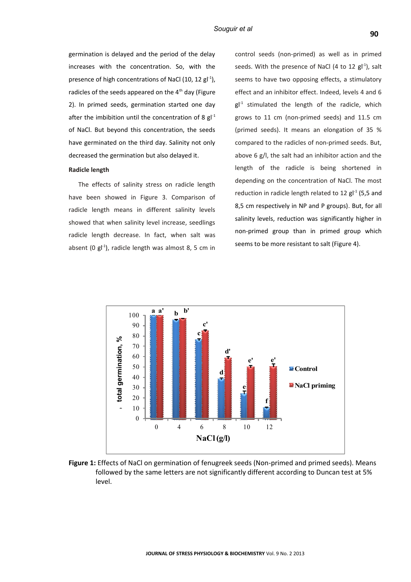#### *Souguir et al*

radicles of the seeds appeared on the  $4<sup>th</sup>$  day (Figure 2). In primed seeds, germination started one day after the imbibition until the concentration of 8  $gl^{-1}$ of NaCl. But beyond this concentration, the seeds have germinated on the third day. Salinity not only decreased the germination but also delayed it.

## **Radicle length**

The effects of salinity stress on radicle length have been showed in Figure 3. Comparison of radicle length means in different salinity levels showed that when salinity level increase, seedlings radicle length decrease. In fact, when salt was absent (0  $\text{gl}^{-1}$ ), radicle length was almost 8, 5 cm in

control seeds (non-primed) as well as in primed seeds. With the presence of NaCl (4 to 12  $gt'$ <sup>1</sup>), salt seems to have two opposing effects, a stimulatory effect and an inhibitor effect. Indeed, levels 4 and 6  $gl<sup>-1</sup>$  stimulated the length of the radicle, which grows to 11 cm (non-primed seeds) and 11.5 cm (primed seeds). It means an elongation of 35 % compared to the radicles of non-primed seeds. But, above 6 g/l, the salt had an inhibitor action and the length of the radicle is being shortened in depending on the concentration of NaCl. The most reduction in radicle length related to 12  $gl<sup>-1</sup>$  (5,5 and 8,5 cm respectively in NP and P groups). But, for all salinity levels, reduction was significantly higher in non-primed group than in primed group which seems to be more resistant to salt (Figure 4).



**Figure 1:** Effects of NaCl on germination of fenugreek seeds (Non-primed and primed seeds). Means followed by the same letters are not significantly different according to Duncan test at 5% level.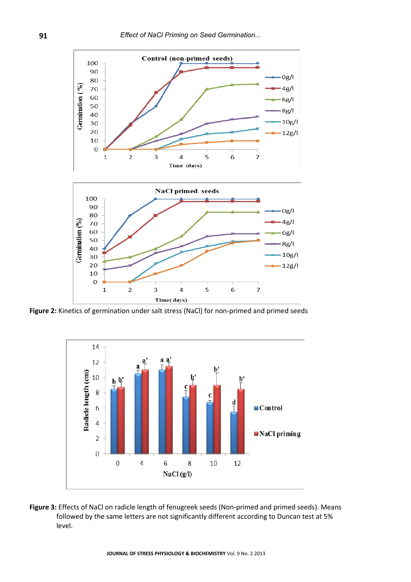

**Figure 2:** Kinetics of germination under salt stress (NaCl) for non-primed and primed seeds



**Figure 3:** Effects of NaCl on radicle length of fenugreek seeds (Non-primed and primed seeds). Means followed by the same letters are not significantly different according to Duncan test at 5% level.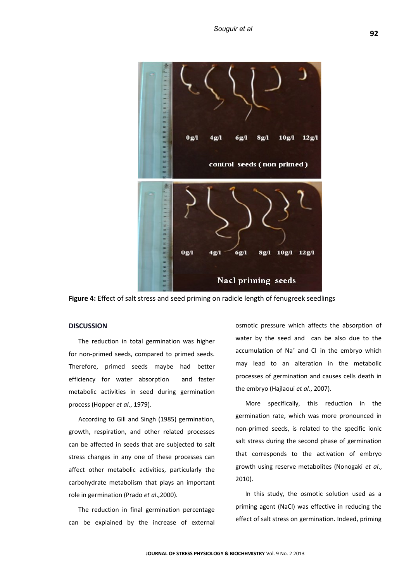

**Figure 4:** Effect of salt stress and seed priming on radicle length of fenugreek seedlings

## **DISCUSSION**

The reduction in total germination was higher for non-primed seeds, compared to primed seeds. Therefore, primed seeds maybe had better efficiency for water absorption and faster metabolic activities in seed during germination process (Hopper *et al*., 1979).

According to Gill and Singh (1985) germination, growth, respiration, and other related processes can be affected in seeds that are subjected to salt stress changes in any one of these processes can affect other metabolic activities, particularly the carbohydrate metabolism that plays an important role in germination (Prado *et al*.,2000).

The reduction in final germination percentage can be explained by the increase of external

osmotic pressure which affects the absorption of water by the seed and can be also due to the accumulation of Na<sup>+</sup> and Cl<sup>-</sup> in the embryo which may lead to an alteration in the metabolic processes of germination and causes cells death in the embryo (Hajlaoui *et al*., 2007).

More specifically, this reduction in the germination rate, which was more pronounced in non-primed seeds, is related to the specific ionic salt stress during the second phase of germination that corresponds to the activation of embryo growth using reserve metabolites (Nonogaki *et al*., 2010).

In this study, the osmotic solution used as a priming agent (NaCl) was effective in reducing the effect of salt stress on germination. Indeed, priming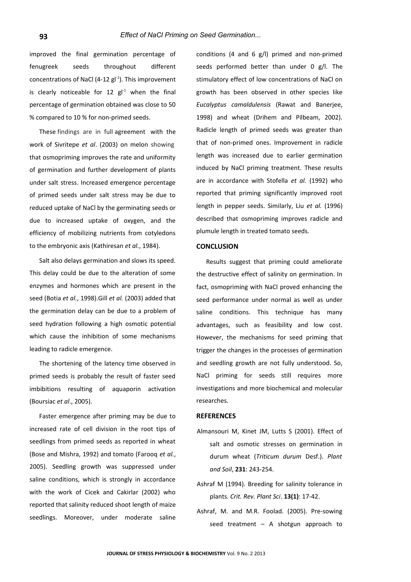improved the final germination percentage of fenugreek seeds throughout different concentrations of NaCl (4-12  $gl^{-1}$ ). This improvement is clearly noticeable for 12  $\text{gl}^{-1}$  when the final percentage of germination obtained was close to 50 % compared to 10 % for non-primed seeds.

These findings are in full agreement with the work of Sivritepe *et al*. (2003) on melon showing that osmopriming improves the rate and uniformity of germination and further development of plants under salt stress. Increased emergence percentage of primed seeds under salt stress may be due to reduced uptake of NaCl by the germinating seeds or due to increased uptake of oxygen, and the efficiency of mobilizing nutrients from cotyledons to the embryonic axis (Kathiresan *et al.*, 1984).

Salt also delays germination and slows its speed. This delay could be due to the alteration of some enzymes and hormones which are present in the seed (Botia *et al.*, 1998).Gill *et al.* (2003) added that the germination delay can be due to a problem of seed hydration following a high osmotic potential which cause the inhibition of some mechanisms leading to radicle emergence.

The shortening of the latency time observed in primed seeds is probably the result of faster seed imbibitions resulting of aquaporin activation (Boursiac *et al*., 2005).

Faster emergence after priming may be due to increased rate of cell division in the root tips of seedlings from primed seeds as reported in wheat (Bose and Mishra, 1992) and tomato (Farooq *et al.*, 2005). Seedling growth was suppressed under saline conditions, which is strongly in accordance with the work of Cicek and Cakirlar (2002) who reported that salinity reduced shoot length of maize seedlings. Moreover, under moderate saline

conditions (4 and 6 g/l) primed and non-primed seeds performed better than under 0 g/l. The stimulatory effect of low concentrations of NaCl on growth has been observed in other species like *Eucalyptus camaldulensis* (Rawat and Banerjee, 1998) and wheat (Drihem and Pilbeam, 2002). Radicle length of primed seeds was greater than that of non-primed ones. Improvement in radicle length was increased due to earlier germination induced by NaCl priming treatment. These results are in accordance with Stofella *et al.* (1992) who reported that priming significantly improved root length in pepper seeds. Similarly, Liu *et al.* (1996) described that osmopriming improves radicle and plumule length in treated tomato seeds.

### **CONCLUSION**

Results suggest that priming could ameliorate the destructive effect of salinity on germination. In fact, osmopriming with NaCl proved enhancing the seed performance under normal as well as under saline conditions. This technique has many advantages, such as feasibility and low cost. However, the mechanisms for seed priming that trigger the changes in the processes of germination and seedling growth are not fully understood. So, NaCl priming for seeds still requires more investigations and more biochemical and molecular researches.

#### **REFERENCES**

- Almansouri M, Kinet JM, Lutts S (2001). Effect of salt and osmotic stresses on germination in durum wheat (*Triticum durum* Desf.). *Plant and Soil*, **231**: 243-254.
- Ashraf M (1994). Breeding for salinity tolerance in plants. *Crit. Rev. Plant Sci*. **13(1)**: 17-42.
- Ashraf, M. and M.R. Foolad. (2005). Pre-sowing seed treatment – A shotgun approach to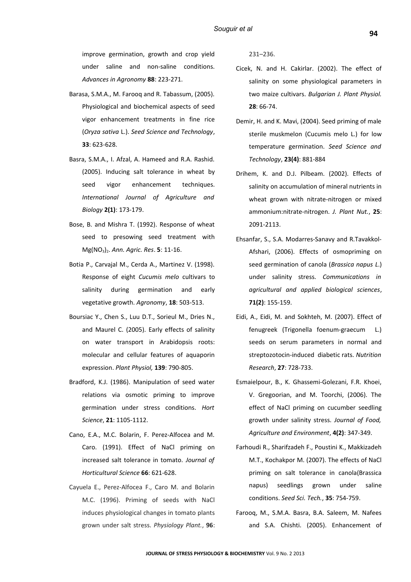improve germination, growth and crop yield under saline and non-saline conditions. *Advances in Agronomy* **88**: 223-271.

- Barasa, S.M.A., M. Farooq and R. Tabassum, (2005). Physiological and biochemical aspects of seed vigor enhancement treatments in fine rice (*Oryza sativa* L.). *Seed Science and Technology*, **33**: 623-628.
- Basra, S.M.A., I. Afzal, A. Hameed and R.A. Rashid. (2005). Inducing salt tolerance in wheat by seed vigor enhancement techniques. *International Journal of Agriculture and Biology* **2(1)**: 173-179.
- Bose, B. and Mishra T. (1992). Response of wheat seed to presowing seed treatment with Mg(NO3)2. *Ann. Agric. Res*. **5**: 11-16.
- Botia P., Carvajal M., Cerda A., Martinez V. (1998). Response of eight *Cucumis melo* cultivars to salinity during germination and early vegetative growth. *Agronomy*, **18**: 503-513.
- Boursiac Y., Chen S., Luu D.T., Sorieul M., Dries N., and Maurel C. (2005). Early effects of salinity on water transport in Arabidopsis roots: molecular and cellular features of aquaporin expression. *Plant Physiol,* **139**: 790-805.
- Bradford, K.J. (1986). Manipulation of seed water relations via osmotic priming to improve germination under stress conditions. *Hort Science*, **21**: 1105-1112.
- Cano, E.A., M.C. Bolarin, F. Perez-Alfocea and M. Caro. (1991). Effect of NaCl priming on increased salt tolerance in tomato. *Journal of Horticultural Science* **66**: 621-628.
- Cayuela E., Perez-Alfocea F., Caro M. and Bolarin M.C. (1996). Priming of seeds with NaCl induces physiological changes in tomato plants grown under salt stress. *Physiology Plant.*, **96**:

231–236.

- Cicek, N. and H. Cakirlar. (2002). The effect of salinity on some physiological parameters in two maize cultivars. *Bulgarian J. Plant Physiol.* **28**: 66-74.
- Demir, H. and K. Mavi, (2004). Seed priming of male sterile muskmelon (Cucumis melo L.) for low temperature germination. *Seed Science and Technology*, **23(4)**: 881-884
- Drihem, K. and D.J. Pilbeam. (2002). Effects of salinity on accumulation of mineral nutrients in wheat grown with nitrate-nitrogen or mixed ammonium:nitrate-nitrogen. *J. Plant Nut.*, **25**: 2091-2113.
- Ehsanfar, S., S.A. Modarres-Sanavy and R.Tavakkol-Afshari, (2006). Effects of osmopriming on seed germination of canola (*Brassica napus L*.) under salinity stress. *Communications in agricultural and applied biological sciences*, **71(2)**: 155-159.
- Eidi, A., Eidi, M. and Sokhteh, M. (2007). Effect of fenugreek (Trigonella foenum-graecum L.) seeds on serum parameters in normal and streptozotocin-induced diabetic rats. *Nutrition Research*, **27**: 728-733.
- Esmaielpour, B., K. Ghassemi-Golezani, F.R. Khoei, V. Gregoorian, and M. Toorchi, (2006). The effect of NaCl priming on cucumber seedling growth under salinity stress. *Journal of Food, Agriculture and Environment*, **4(2)**: 347-349.
- Farhoudi R., Sharifzadeh F., Poustini K., Makkizadeh M.T., Kochakpor M. (2007). The effects of NaCl priming on salt tolerance in canola(Brassica napus) seedlings grown under saline conditions. *Seed Sci. Tech.*, **35**: 754-759.
- Farooq, M., S.M.A. Basra, B.A. Saleem, M. Nafees and S.A. Chishti. (2005). Enhancement of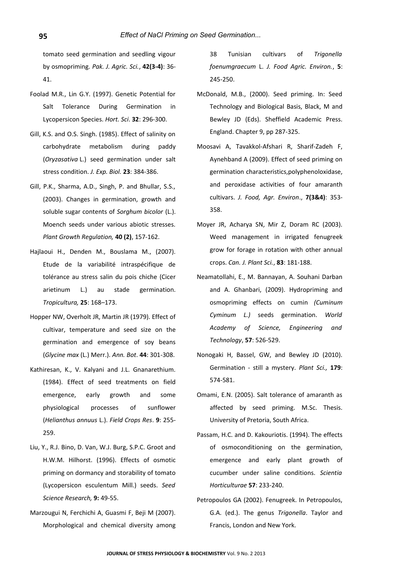tomato seed germination and seedling vigour by osmopriming. *Pak. J. Agric. Sci.*, **42(3-4)**: 36- 41.

- Foolad M.R., Lin G.Y. (1997). Genetic Potential for Salt Tolerance During Germination in Lycopersicon Species. *Hort. Sci*. **32**: 296-300.
- Gill, K.S. and O.S. Singh. (1985). Effect of salinity on carbohydrate metabolism during paddy (*Oryzasativa* L.) seed germination under salt stress condition. *J. Exp. Biol.* **23**: 384-386.
- Gill, P.K., Sharma, A.D., Singh, P. and Bhullar, S.S., (2003). Changes in germination, growth and soluble sugar contents of *Sorghum bicolor* (L.). Moench seeds under various abiotic stresses. *Plant Growth Regulation,* **40 (2)**, 157-162.
- Hajlaoui H., Denden M., Bouslama M., (2007). Etude de la variabilité intraspécifique de tolérance au stress salin du pois chiche (Cicer arietinum L.) au stade germination. *Tropicultura,* **25**: 168–173.
- Hopper NW, Overholt JR, Martin JR (1979). Effect of cultivar, temperature and seed size on the germination and emergence of soy beans (*Glycine max* (L.) Merr.). *Ann. Bot*. **44**: 301-308.
- Kathiresan, K., V. Kalyani and J.L. Gnanarethium. (1984). Effect of seed treatments on field emergence, early growth and some physiological processes of sunflower (*Helianthus annuus* L.). *Field Crops Res*. **9**: 255- 259.
- Liu, Y., R.J. Bino, D. Van, W.J. Burg, S.P.C. Groot and H.W.M. Hilhorst. (1996). Effects of osmotic priming on dormancy and storability of tomato (Lycopersicon esculentum Mill.) seeds. *Seed Science Research,* **9:** 49-55.
- Marzougui N, Ferchichi A, Guasmi F, Beji M (2007). Morphological and chemical diversity among

38 Tunisian cultivars of *Trigonella foenumgraecum* L. *J. Food Agric. Environ.*, **5**: 245-250.

- McDonald, M.B., (2000). Seed priming. In: Seed Technology and Biological Basis, Black, M and Bewley JD (Eds). Sheffield Academic Press. England. Chapter 9, pp 287-325.
- Moosavi A, Tavakkol-Afshari R, Sharif-Zadeh F, Aynehband A (2009). Effect of seed priming on germination characteristics,polyphenoloxidase, and peroxidase activities of four amaranth cultivars. *J. Food, Agr. Environ*., **7(3&4)**: 353- 358.
- Moyer JR, Acharya SN, Mir Z, Doram RC (2003). Weed management in irrigated fenugreek grow for forage in rotation with other annual crops. *Can. J. Plant Sci.*, **83**: 181-188.
- Neamatollahi, E., M. Bannayan, A. Souhani Darban and A. Ghanbari, (2009). Hydropriming and osmopriming effects on cumin *(Cuminum Cyminum L.)* seeds germination. *World Academy of Science, Engineering and Technology*, **57**: 526-529.
- Nonogaki H, Bassel, GW, and Bewley JD (2010). Germination - still a mystery. *Plant Sci.,* **179**: 574-581.
- Omami, E.N. (2005). Salt tolerance of amaranth as affected by seed priming. M.Sc. Thesis. University of Pretoria, South Africa.
- Passam, H.C. and D. Kakouriotis. (1994). The effects of osmoconditioning on the germination, emergence and early plant growth of cucumber under saline conditions. *Scientia Horticulturae* **57**: 233-240.
- Petropoulos GA (2002). Fenugreek. In Petropoulos, G.A. (ed.). The genus *Trigonella*. Taylor and Francis, London and New York.